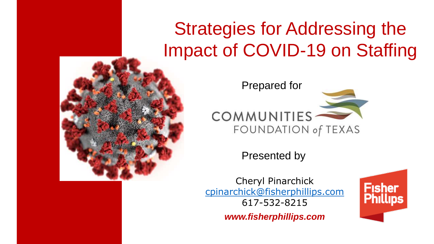## Strategies for Addressing the Impact of COVID-19 on Staffing





Presented by

Cheryl Pinarchick [cpinarchick@fisherphillips.com](mailto:cpinarchick@fisherphillips.com) 617-532-8215

*www.fisherphillips.com*

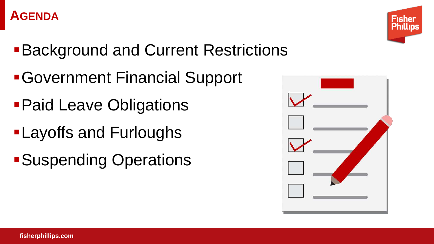#### **AGENDA**



- **Background and Current Restrictions**
- ▪Government Financial Support
- **Paid Leave Obligations**
- **-Layoffs and Furloughs**
- **-Suspending Operations**

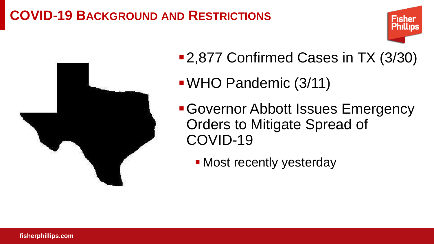### **COVID-19 BACKGROUND AND RESTRICTIONS**





- 2,877 Confirmed Cases in TX (3/30)
- ▪WHO Pandemic (3/11)
- **Governor Abbott Issues Emergency** Orders to Mitigate Spread of COVID-19
	- **Most recently yesterday**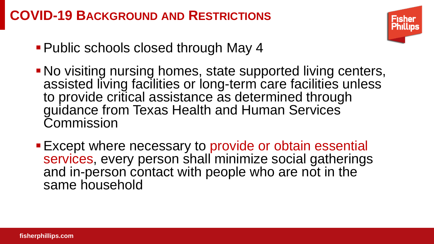### **COVID-19 BACKGROUND AND RESTRICTIONS**



- Public schools closed through May 4
- **No visiting nursing homes, state supported living centers,** assisted living facilities or long-term care facilities unless to provide critical assistance as determined through guidance from Texas Health and Human Services Commission
- **Except where necessary to provide or obtain essential** services, every person shall minimize social gatherings and in-person contact with people who are not in the same household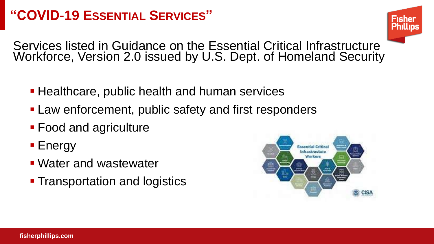### **"COVID-19 ESSENTIAL SERVICES"**



Services listed in Guidance on the Essential Critical Infrastructure Workforce, Version 2.0 issued by U.S. Dept. of Homeland Security

- **Healthcare, public health and human services**
- Law enforcement, public safety and first responders
- **Food and agriculture**
- Energy
- **Water and wastewater**
- **Transportation and logistics**

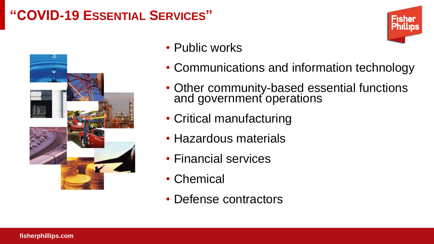### **"COVID-19 ESSENTIAL SERVICES"**



- Public works
- Communications and information technology
- Other community-based essential functions and government operations
- Critical manufacturing
- Hazardous materials
- Financial services
- Chemical
- Defense contractors

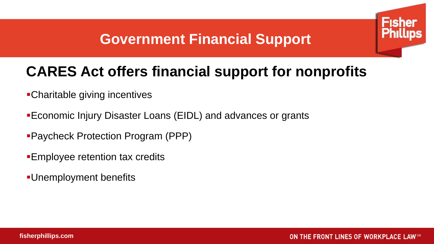### **Government Financial Support**

### **CARES Act offers financial support for nonprofits**

- ▪Charitable giving incentives
- **Economic Injury Disaster Loans (EIDL) and advances or grants**
- ▪Paycheck Protection Program (PPP)
- **Employee retention tax credits**
- ▪Unemployment benefits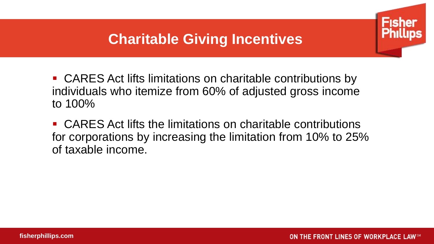### **Charitable Giving Incentives**

■ CARES Act lifts limitations on charitable contributions by individuals who itemize from 60% of adjusted gross income to 100%

■ CARES Act lifts the limitations on charitable contributions for corporations by increasing the limitation from 10% to 25% of taxable income.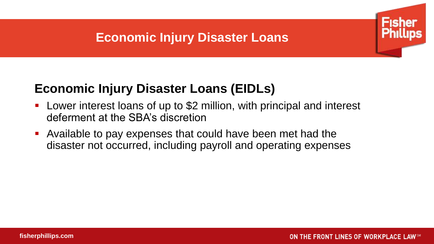### **Economic Injury Disaster Loans**



- Lower interest loans of up to \$2 million, with principal and interest deferment at the SBA's discretion
- Available to pay expenses that could have been met had the disaster not occurred, including payroll and operating expenses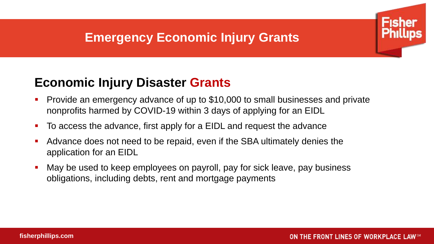### **Emergency Economic Injury Grants**



- Provide an emergency advance of up to \$10,000 to small businesses and private nonprofits harmed by COVID-19 within 3 days of applying for an EIDL
- To access the advance, first apply for a EIDL and request the advance
- Advance does not need to be repaid, even if the SBA ultimately denies the application for an EIDL
- May be used to keep employees on payroll, pay for sick leave, pay business obligations, including debts, rent and mortgage payments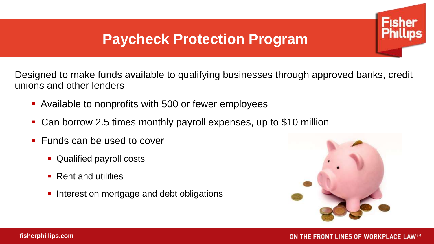Designed to make funds available to qualifying businesses through approved banks, credit unions and other lenders

- Available to nonprofits with 500 or fewer employees
- Can borrow 2.5 times monthly payroll expenses, up to \$10 million
- Funds can be used to cover
	- **Qualified payroll costs**
	- Rent and utilities
	- **.** Interest on mortgage and debt obligations

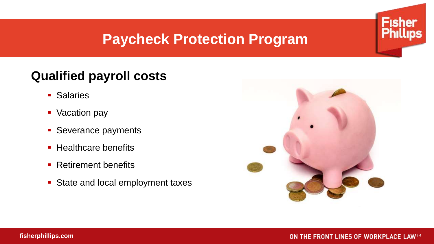### **Qualified payroll costs**

- Salaries
- Vacation pay
- **E** Severance payments
- Healthcare benefits
- Retirement benefits
- State and local employment taxes



**Fisher**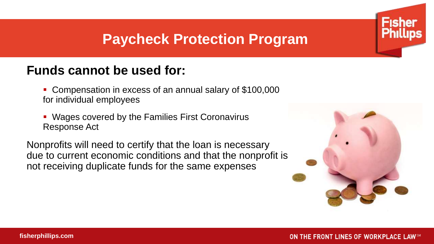### **Funds cannot be used for:**

- Compensation in excess of an annual salary of \$100,000 for individual employees
- Wages covered by the Families First Coronavirus Response Act

Nonprofits will need to certify that the loan is necessary due to current economic conditions and that the nonprofit is not receiving duplicate funds for the same expenses

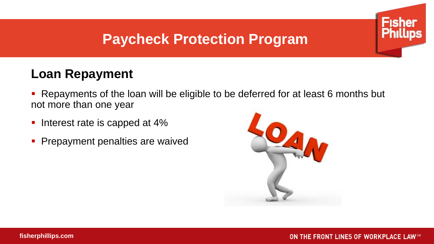### **Loan Repayment**

- Repayments of the loan will be eligible to be deferred for at least 6 months but not more than one year
- Interest rate is capped at 4%
- **Prepayment penalties are waived**

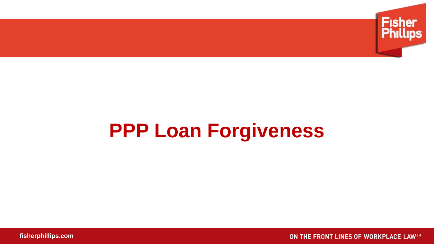

# **PPP Loan Forgiveness**

**fisherphillips.com**

ON THE FRONT LINES OF WORKPLACE LAWSM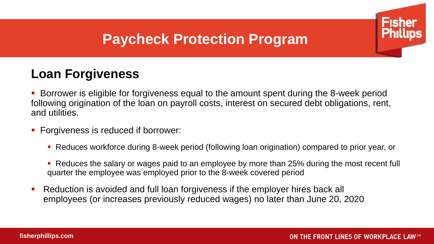### **Loan Forgiveness**

Borrower is eligible for forgiveness equal to the amount spent during the 8-week period following origination of the loan on payroll costs, interest on secured debt obligations, rent, and utilities.

- Forgiveness is reduced if borrower:
	- Reduces workforce during 8-week period (following loan origination) compared to prior year, or
	- Reduces the salary or wages paid to an employee by more than 25% during the most recent full quarter the employee was employed prior to the 8-week covered period
- Reduction is avoided and full loan forgiveness if the employer hires back all employees (or increases previously reduced wages) no later than June 20, 2020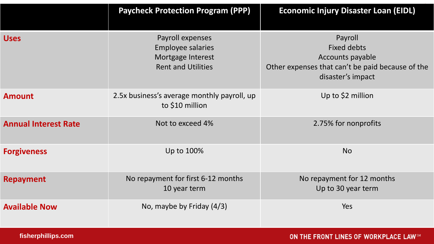|                             | <b>Paycheck Protection Program (PPP)</b>                                                       | <b>Economic Injury Disaster Loan (EIDL)</b>                                                                                |
|-----------------------------|------------------------------------------------------------------------------------------------|----------------------------------------------------------------------------------------------------------------------------|
| <b>Uses</b>                 | Payroll expenses<br><b>Employee salaries</b><br>Mortgage Interest<br><b>Rent and Utilities</b> | Payroll<br><b>Fixed debts</b><br>Accounts payable<br>Other expenses that can't be paid because of the<br>disaster's impact |
| <b>Amount</b>               | 2.5x business's average monthly payroll, up<br>to \$10 million                                 | Up to \$2 million                                                                                                          |
| <b>Annual Interest Rate</b> | Not to exceed 4%                                                                               | 2.75% for nonprofits                                                                                                       |
| <b>Forgiveness</b>          | Up to 100%                                                                                     | <b>No</b>                                                                                                                  |
| <b>Repayment</b>            | No repayment for first 6-12 months<br>10 year term                                             | No repayment for 12 months<br>Up to 30 year term                                                                           |
| <b>Available Now</b>        | No, maybe by Friday (4/3)                                                                      | Yes                                                                                                                        |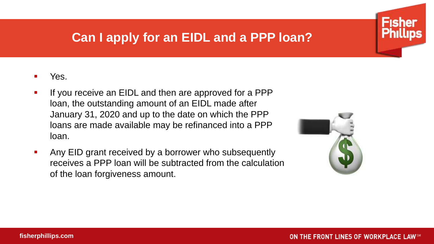### **Can I apply for an EIDL and a PPP loan?**

#### Yes.

- If you receive an EIDL and then are approved for a PPP loan, the outstanding amount of an EIDL made after January 31, 2020 and up to the date on which the PPP loans are made available may be refinanced into a PPP loan.
- Any EID grant received by a borrower who subsequently receives a PPP loan will be subtracted from the calculation of the loan forgiveness amount.

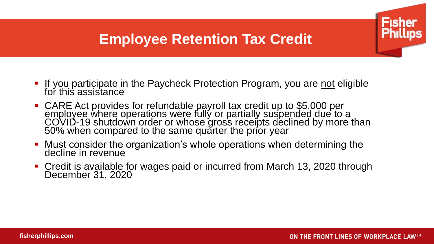### **Employee Retention Tax Credit**

- **•** If you participate in the Paycheck Protection Program, you are not eligible for this assistance
- CARE Act provides for refundable payroll tax credit up to \$5,000 per employee where operations were fully or partially suspended due to a COVID-19 shutdown order or whose gross receipts declined by more than 50% when compared to the same quarter the prior year
- Must consider the organization's whole operations when determining the decline in revenue
- Credit is available for wages paid or incurred from March 13, 2020 through December 31, 2020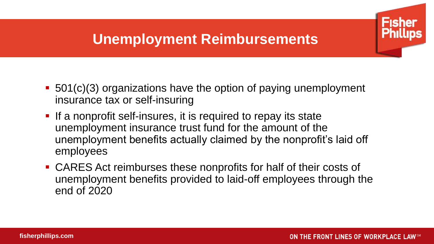### **Unemployment Reimbursements**

- 501(c)(3) organizations have the option of paying unemployment insurance tax or self-insuring
- **.** If a nonprofit self-insures, it is required to repay its state unemployment insurance trust fund for the amount of the unemployment benefits actually claimed by the nonprofit's laid off employees
- CARES Act reimburses these nonprofits for half of their costs of unemployment benefits provided to laid-off employees through the end of 2020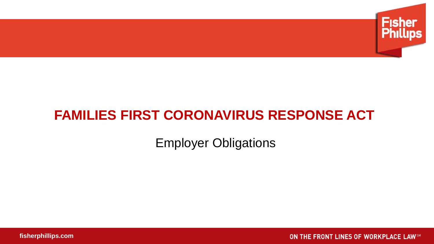

### **FAMILIES FIRST CORONAVIRUS RESPONSE ACT**

Employer Obligations

**fisherphillips.com**

ON THE FRONT LINES OF WORKPLACE LAWSM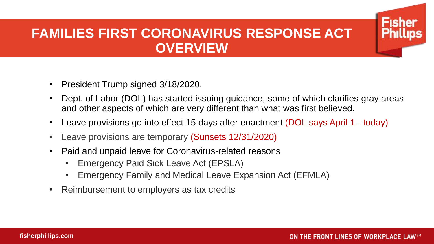### **FAMILIES FIRST CORONAVIRUS RESPONSE ACT OVERVIEW**

- President Trump signed 3/18/2020.
- Dept. of Labor (DOL) has started issuing guidance, some of which clarifies gray areas and other aspects of which are very different than what was first believed.
- Leave provisions go into effect 15 days after enactment (DOL says April 1 today)
- Leave provisions are temporary (Sunsets 12/31/2020)
- Paid and unpaid leave for Coronavirus-related reasons
	- Emergency Paid Sick Leave Act (EPSLA)
	- Emergency Family and Medical Leave Expansion Act (EFMLA)
- Reimbursement to employers as tax credits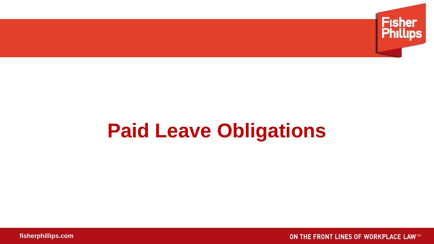

# **Paid Leave Obligations**

**fisherphillips.com**

ON THE FRONT LINES OF WORKPLACE LAWSM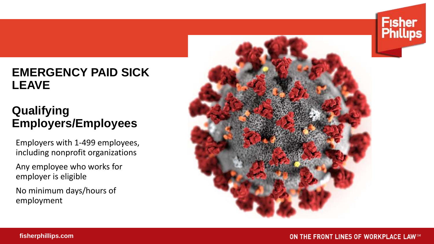#### **EMERGENCY PAID SICK LEAVE**

### **Qualifying Employers/Employees**

Employers with 1-499 employees, including nonprofit organizations

Any employee who works for employer is eligible

No minimum days/hours of employment

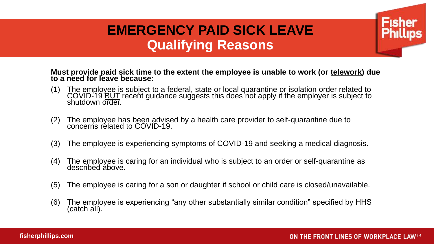### **EMERGENCY PAID SICK LEAVE Qualifying Reasons**

**Must provide paid sick time to the extent the employee is unable to work (or telework) due to a need for leave because:**

- (1) The employee is subject to a federal, state or local quarantine or isolation order related to COVID-19 BUT recent guidance suggests this does not apply if the employer is subject to shutdown order.
- (2) The employee has been advised by a health care provider to self-quarantine due to concerns related to COVID-19.
- (3) The employee is experiencing symptoms of COVID-19 and seeking a medical diagnosis.
- (4) The employee is caring for an individual who is subject to an order or self-quarantine as described above.
- (5) The employee is caring for a son or daughter if school or child care is closed/unavailable.
- (6) The employee is experiencing "any other substantially similar condition" specified by HHS (catch all).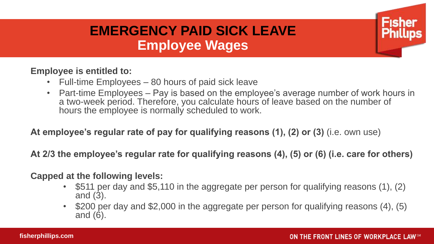### **EMERGENCY PAID SICK LEAVE Employee Wages**

#### **Employee is entitled to:**

- Full-time Employees 80 hours of paid sick leave
- Part-time Employees Pay is based on the employee's average number of work hours in a two-week period. Therefore, you calculate hours of leave based on the number of hours the employee is normally scheduled to work.

**At employee's regular rate of pay for qualifying reasons (1), (2) or (3)** (i.e. own use)

**At 2/3 the employee's regular rate for qualifying reasons (4), (5) or (6) (i.e. care for others)**

#### **Capped at the following levels:**

- \$511 per day and \$5,110 in the aggregate per person for qualifying reasons (1), (2) and (3).
- \$200 per day and \$2,000 in the aggregate per person for qualifying reasons (4), (5) and (6).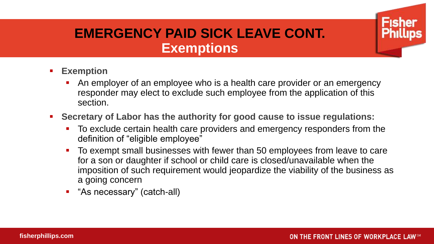### **EMERGENCY PAID SICK LEAVE CONT. Exemptions**

- **Exemption**
	- An employer of an employee who is a health care provider or an emergency responder may elect to exclude such employee from the application of this section.
- **Secretary of Labor has the authority for good cause to issue regulations:** 
	- To exclude certain health care providers and emergency responders from the definition of "eligible employee"
	- To exempt small businesses with fewer than 50 employees from leave to care for a son or daughter if school or child care is closed/unavailable when the imposition of such requirement would jeopardize the viability of the business as a going concern
	- "As necessary" (catch-all)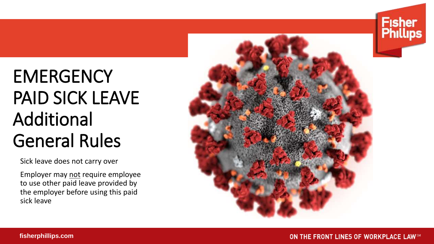# **EMERGENCY** PAID SICK LEAVE Additional General Rules

Sick leave does not carry over

Employer may not require employee to use other paid leave provided by the employer before using this paid sick leave





**Fisher<br>Phillips**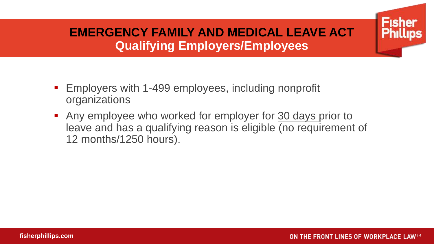### **EMERGENCY FAMILY AND MEDICAL LEAVE ACT Qualifying Employers/Employees**

- Employers with 1-499 employees, including nonprofit organizations
- Any employee who worked for employer for 30 days prior to leave and has a qualifying reason is eligible (no requirement of 12 months/1250 hours).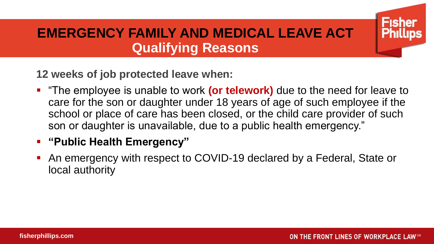### **EMERGENCY FAMILY AND MEDICAL LEAVE ACT Qualifying Reasons**

**12 weeks of job protected leave when:**

■ "The employee is unable to work **(or telework)** due to the need for leave to care for the son or daughter under 18 years of age of such employee if the school or place of care has been closed, or the child care provider of such son or daughter is unavailable, due to a public health emergency."

#### ▪ **"Public Health Emergency"**

■ An emergency with respect to COVID-19 declared by a Federal, State or local authority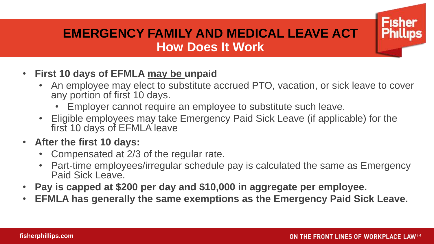#### **EMERGENCY FAMILY AND MEDICAL LEAVE ACT How Does It Work**

- **First 10 days of EFMLA may be unpaid**
	- An employee may elect to substitute accrued PTO, vacation, or sick leave to cover any portion of first 10 days.
		- Employer cannot require an employee to substitute such leave.
	- Eligible employees may take Emergency Paid Sick Leave (if applicable) for the first 10 days of EFMLA leave
- **After the first 10 days:**
	- Compensated at 2/3 of the regular rate.
	- Part-time employees/irregular schedule pay is calculated the same as Emergency Paid Sick Leave.
- **Pay is capped at \$200 per day and \$10,000 in aggregate per employee.**
- **EFMLA has generally the same exemptions as the Emergency Paid Sick Leave.**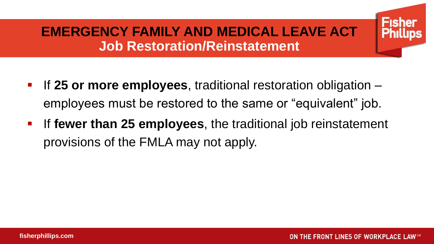### **EMERGENCY FAMILY AND MEDICAL LEAVE ACT Job Restoration/Reinstatement**

- If 25 or more employees, traditional restoration obligation employees must be restored to the same or "equivalent" job.
- **If fewer than 25 employees**, the traditional job reinstatement provisions of the FMLA may not apply.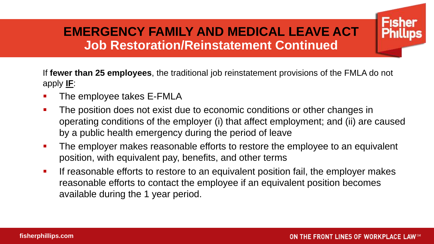### **EMERGENCY FAMILY AND MEDICAL LEAVE ACT Job Restoration/Reinstatement Continued**

If **fewer than 25 employees**, the traditional job reinstatement provisions of the FMLA do not apply **IF**:

- The employee takes E-FMLA
- **The position does not exist due to economic conditions or other changes in** operating conditions of the employer (i) that affect employment; and (ii) are caused by a public health emergency during the period of leave
- **The employer makes reasonable efforts to restore the employee to an equivalent** position, with equivalent pay, benefits, and other terms
- **EXT** If reasonable efforts to restore to an equivalent position fail, the employer makes reasonable efforts to contact the employee if an equivalent position becomes available during the 1 year period.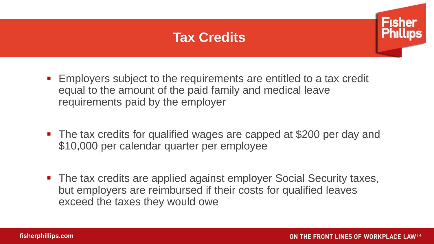### **Tax Credits**



- Employers subject to the requirements are entitled to a tax credit equal to the amount of the paid family and medical leave requirements paid by the employer
- The tax credits for qualified wages are capped at \$200 per day and \$10,000 per calendar quarter per employee
- The tax credits are applied against employer Social Security taxes, but employers are reimbursed if their costs for qualified leaves exceed the taxes they would owe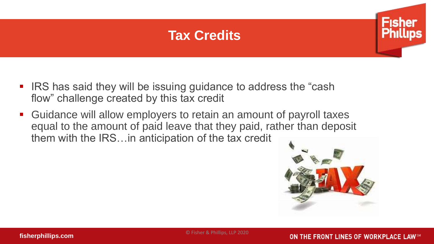### **Tax Credits**



- IRS has said they will be issuing guidance to address the "cash" flow" challenge created by this tax credit
- Guidance will allow employers to retain an amount of payroll taxes equal to the amount of paid leave that they paid, rather than deposit them with the IRS…in anticipation of the tax credit



© Fisher & Phillips, LLP 2020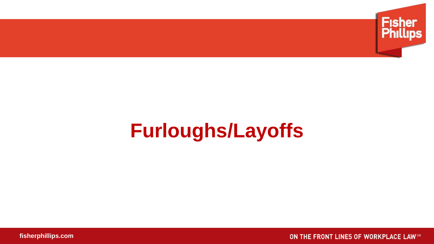

# **Furloughs/Layoffs**

**fisherphillips.com**

ON THE FRONT LINES OF WORKPLACE LAWSM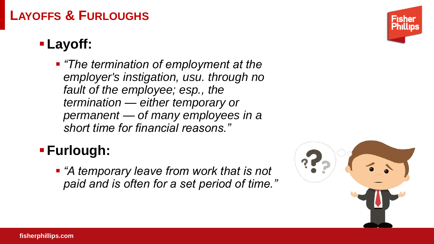### **LAYOFFS & FURLOUGHS**

### ▪**Layoff:**

■ *"The termination of employment at the employer's instigation, usu. through no fault of the employee; esp., the termination — either temporary or permanent — of many employees in a short time for financial reasons."*

### ▪**Furlough:**

▪ *"A temporary leave from work that is not paid and is often for a set period of time."* 



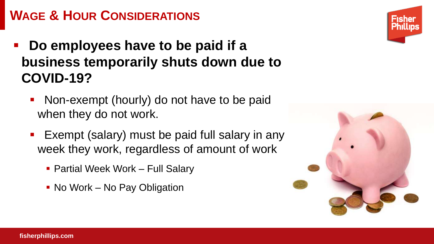### **WAGE & HOUR CONSIDERATIONS**

- Do employees have to be paid if a **business temporarily shuts down due to COVID-19?**
	- Non-exempt (hourly) do not have to be paid when they do not work.
	- Exempt (salary) must be paid full salary in any week they work, regardless of amount of work
		- **Partial Week Work Full Salary**
		- No Work No Pay Obligation





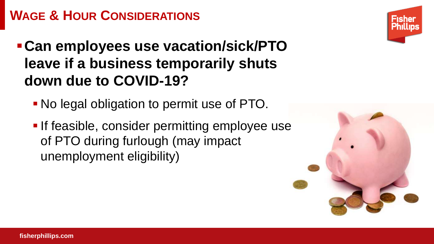### **WAGE & HOUR CONSIDERATIONS**

### ▪**Can employees use vacation/sick/PTO leave if a business temporarily shuts down due to COVID-19?**

- No legal obligation to permit use of PTO.
- **. If feasible, consider permitting employee use** of PTO during furlough (may impact unemployment eligibility)



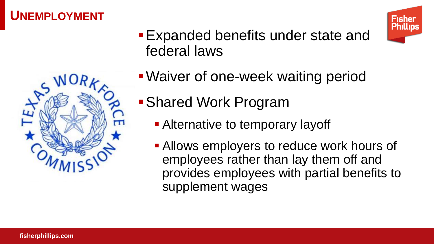### **UNEMPLOYMENT**





- **Expanded benefits under state and** federal laws
- **. Waiver of one-week waiting period**
- Shared Work Program
	- **Example 12** Alternative to temporary layoff
	- **Allows employers to reduce work hours of** employees rather than lay them off and provides employees with partial benefits to supplement wages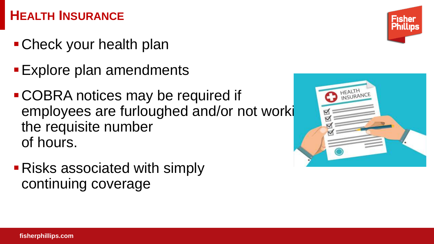### **HEALTH INSURANCE**

- **Check your health plan**
- **Explore plan amendments**
- ▪COBRA notices may be required if employees are furloughed and/or not worki the requisite number of hours.
- **Risks associated with simply** continuing coverage



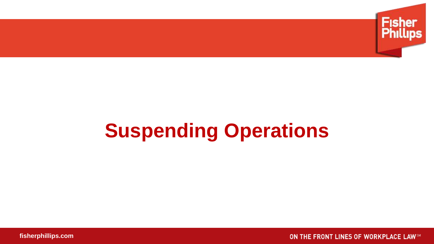

# **Suspending Operations**

**fisherphillips.com**

ON THE FRONT LINES OF WORKPLACE LAWSM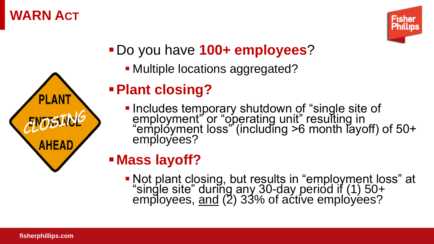### **WARN ACT**

**PLAN** 

**AHEAD** 



- ▪Do you have **100+ employees**?
	- **Multiple locations aggregated?**

### ▪**Plant closing?**

**.** Includes temporary shutdown of "single site of employment" or "operating unit" resulting in "employment loss" (including >6 month layoff) of 50+ employees?

### ▪**Mass layoff?**

▪ Not plant closing, but results in "employment loss" at "single site" during any 30-day period if (1) 50+ employees, <u>and</u> (2) 33% of active employées?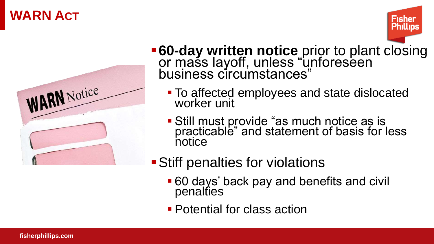### **WARN ACT**



**-60-day written notice** prior to plant closing or mass layoff, unless "unforeseen business circumstances"

Phillip

- To affected employees and state dislocated worker unit
- **Still must provide "as much notice as is** practicable" and statement of basis for less notice
- Stiff penalties for violations
	- 60 days' back pay and benefits and civil penalties
	- **Potential for class action**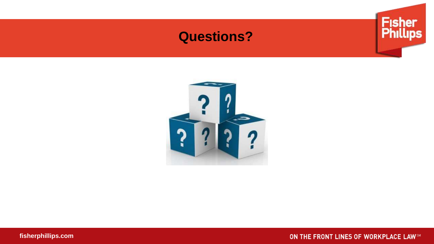### **Questions?**





**fisherphillips.com**

ON THE FRONT LINES OF WORKPLACE LAW5M